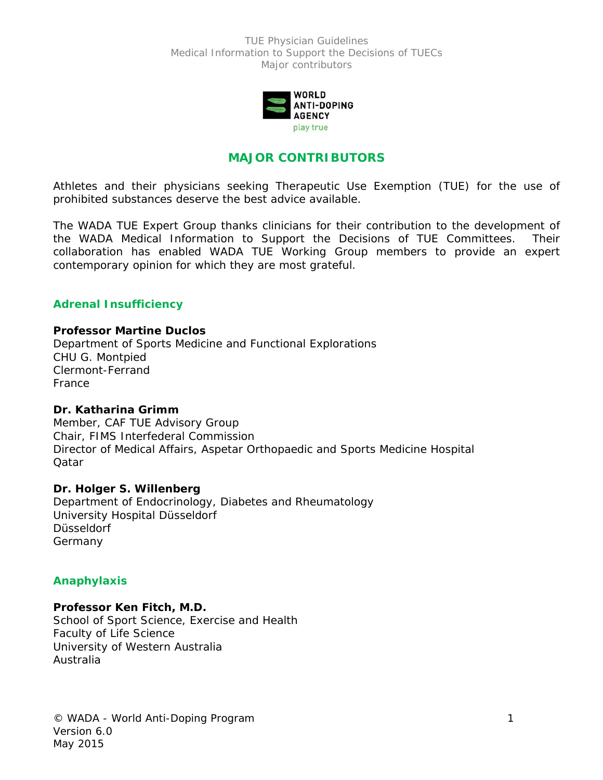

# **MAJOR CONTRIBUTORS**

Athletes and their physicians seeking Therapeutic Use Exemption (TUE) for the use of prohibited substances deserve the best advice available.

The WADA TUE Expert Group thanks clinicians for their contribution to the development of the WADA Medical Information to Support the Decisions of TUE Committees. Their collaboration has enabled WADA TUE Working Group members to provide an expert contemporary opinion for which they are most grateful.

## **Adrenal Insufficiency**

#### **Professor Martine Duclos**

Department of Sports Medicine and Functional Explorations CHU G. Montpied Clermont-Ferrand **France** 

#### **Dr. Katharina Grimm**

Member, CAF TUE Advisory Group Chair, FIMS Interfederal Commission Director of Medical Affairs, Aspetar Orthopaedic and Sports Medicine Hospital Qatar

#### **Dr. Holger S. Willenberg**

Department of Endocrinology, Diabetes and Rheumatology University Hospital Düsseldorf Düsseldorf Germany

## **Anaphylaxis**

## **Professor Ken Fitch, M.D.**

School of Sport Science, Exercise and Health Faculty of Life Science University of Western Australia Australia

© WADA - World Anti-Doping Program 1 Version 6.0 May 2015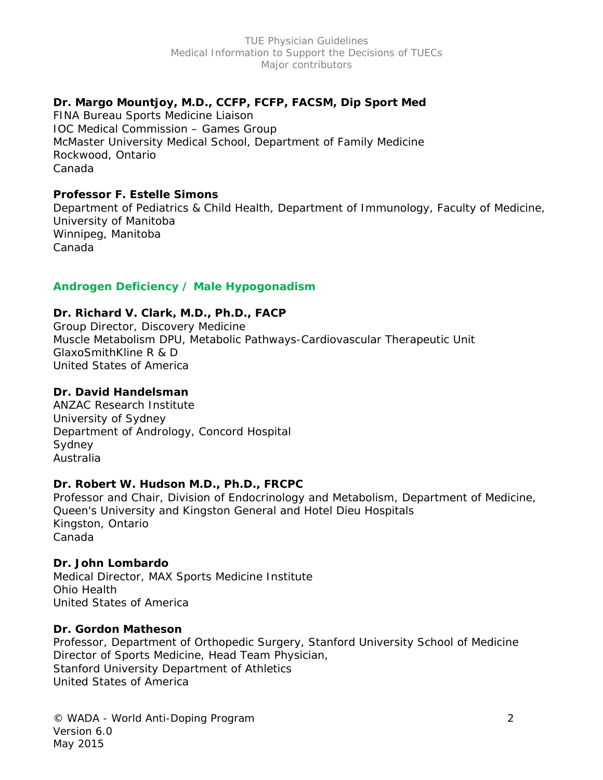# **Dr. Margo Mountjoy, M.D., CCFP, FCFP, FACSM, Dip Sport Med**

FINA Bureau Sports Medicine Liaison IOC Medical Commission – Games Group McMaster University Medical School, Department of Family Medicine Rockwood, Ontario Canada

## **Professor F. Estelle Simons**

Department of Pediatrics & Child Health, Department of Immunology, Faculty of Medicine, University of Manitoba Winnipeg, Manitoba Canada

# **Androgen Deficiency / Male Hypogonadism**

## **Dr. Richard V. Clark, M.D., Ph.D., FACP**

Group Director, Discovery Medicine Muscle Metabolism DPU, Metabolic Pathways-Cardiovascular Therapeutic Unit GlaxoSmithKline R & D United States of America

# **Dr. David Handelsman**

ANZAC Research Institute University of Sydney Department of Andrology, Concord Hospital Sydney Australia

## **Dr. Robert W. Hudson M.D., Ph.D., FRCPC**

Professor and Chair, Division of Endocrinology and Metabolism, Department of Medicine, Queen's University and Kingston General and Hotel Dieu Hospitals Kingston, Ontario Canada

## **Dr. John Lombardo**

Medical Director, MAX Sports Medicine Institute Ohio Health United States of America

## **Dr. Gordon Matheson**

Professor, Department of Orthopedic Surgery, Stanford University School of Medicine Director of Sports Medicine, Head Team Physician, Stanford University Department of Athletics United States of America

© WADA - World Anti-Doping Program 2 Version 6.0 May 2015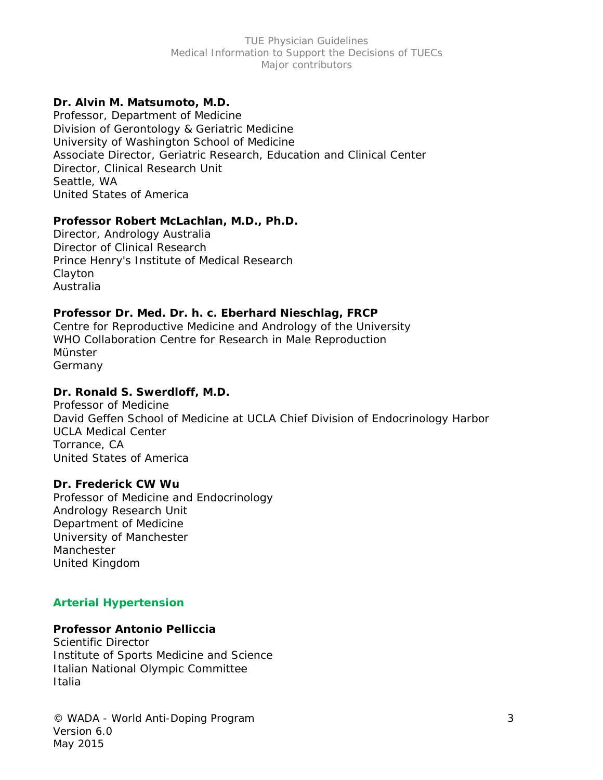## **Dr. Alvin M. Matsumoto, M.D.**

Professor, Department of Medicine Division of Gerontology & Geriatric Medicine University of Washington School of Medicine Associate Director, Geriatric Research, Education and Clinical Center Director, Clinical Research Unit Seattle, WA United States of America

#### **Professor Robert McLachlan, M.D., Ph.D.**

Director, Andrology Australia Director of Clinical Research Prince Henry's Institute of Medical Research Clayton Australia

## **Professor Dr. Med. Dr. h. c. Eberhard Nieschlag, FRCP**

Centre for Reproductive Medicine and Andrology of the University WHO Collaboration Centre for Research in Male Reproduction Münster Germany

### **Dr. Ronald S. Swerdloff, M.D.**

Professor of Medicine David Geffen School of Medicine at UCLA Chief Division of Endocrinology Harbor UCLA Medical Center Torrance, CA United States of America

#### **Dr. Frederick CW Wu**

Professor of Medicine and Endocrinology Andrology Research Unit Department of Medicine University of Manchester Manchester United Kingdom

## **Arterial Hypertension**

## **Professor Antonio Pelliccia**

Scientific Director Institute of Sports Medicine and Science Italian National Olympic Committee Italia

© WADA - World Anti-Doping Program 3 Version 6.0 May 2015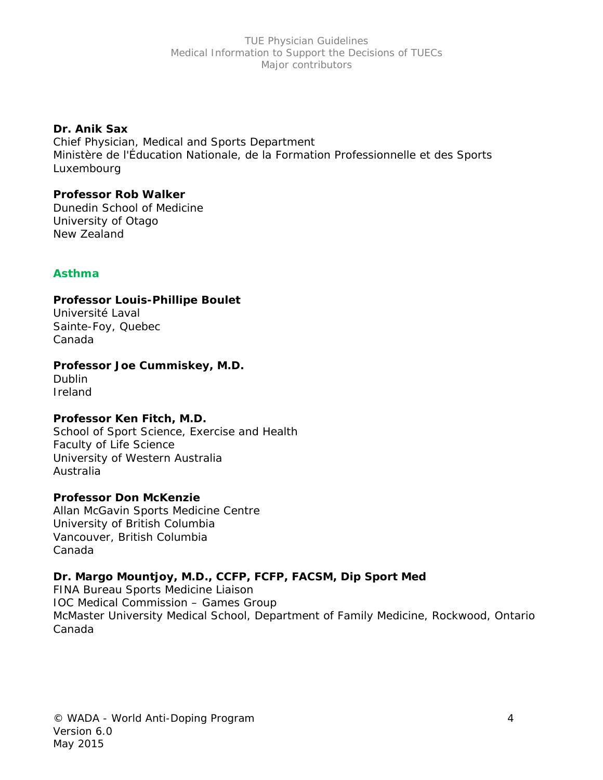## **Dr. Anik Sax**

Chief Physician, Medical and Sports Department Ministère de l'Éducation Nationale, de la Formation Professionnelle et des Sports Luxembourg

### **Professor Rob Walker**

Dunedin School of Medicine University of Otago New Zealand

# **Asthma**

## **Professor Louis-Phillipe Boulet**

Université Laval Sainte-Foy, Quebec Canada

# **Professor Joe Cummiskey, M.D.**

Dublin Ireland

# **Professor Ken Fitch, M.D.**

School of Sport Science, Exercise and Health Faculty of Life Science University of Western Australia Australia

## **Professor Don McKenzie**

Allan McGavin Sports Medicine Centre University of British Columbia Vancouver, British Columbia Canada

# **Dr. Margo Mountjoy, M.D., CCFP, FCFP, FACSM, Dip Sport Med**

FINA Bureau Sports Medicine Liaison IOC Medical Commission – Games Group McMaster University Medical School, Department of Family Medicine, Rockwood, Ontario Canada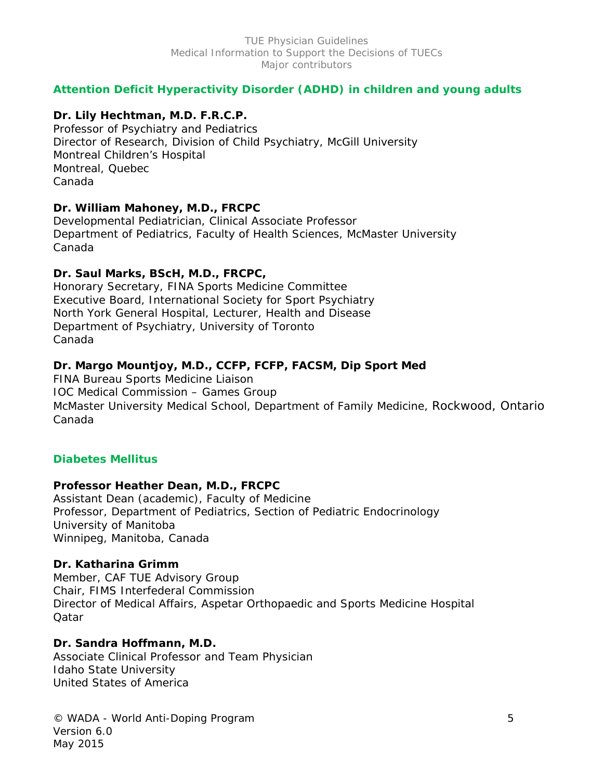# **Attention Deficit Hyperactivity Disorder (ADHD) in children and young adults**

# **Dr. Lily Hechtman, M.D. F.R.C.P.**

Professor of Psychiatry and Pediatrics Director of Research, Division of Child Psychiatry, McGill University Montreal Children's Hospital Montreal, Quebec Canada

# **Dr. William Mahoney, M.D., FRCPC**

Developmental Pediatrician, Clinical Associate Professor Department of Pediatrics, Faculty of Health Sciences, McMaster University Canada

# **Dr. Saul Marks, BScH, M.D., FRCPC,**

Honorary Secretary, FINA Sports Medicine Committee Executive Board, International Society for Sport Psychiatry North York General Hospital, Lecturer, Health and Disease Department of Psychiatry, University of Toronto Canada

# **Dr. Margo Mountjoy, M.D., CCFP, FCFP, FACSM, Dip Sport Med**

FINA Bureau Sports Medicine Liaison IOC Medical Commission – Games Group McMaster University Medical School, Department of Family Medicine, Rockwood, Ontario Canada

# **Diabetes Mellitus**

# **Professor Heather Dean, M.D., FRCPC**

Assistant Dean (academic), Faculty of Medicine Professor, Department of Pediatrics, Section of Pediatric Endocrinology University of Manitoba Winnipeg, Manitoba, Canada

# **Dr. Katharina Grimm**

Member, CAF TUE Advisory Group Chair, FIMS Interfederal Commission Director of Medical Affairs, Aspetar Orthopaedic and Sports Medicine Hospital **Oatar** 

# **Dr. Sandra Hoffmann, M.D.**

Associate Clinical Professor and Team Physician Idaho State University United States of America

© WADA - World Anti-Doping Program 5 Version 6.0 May 2015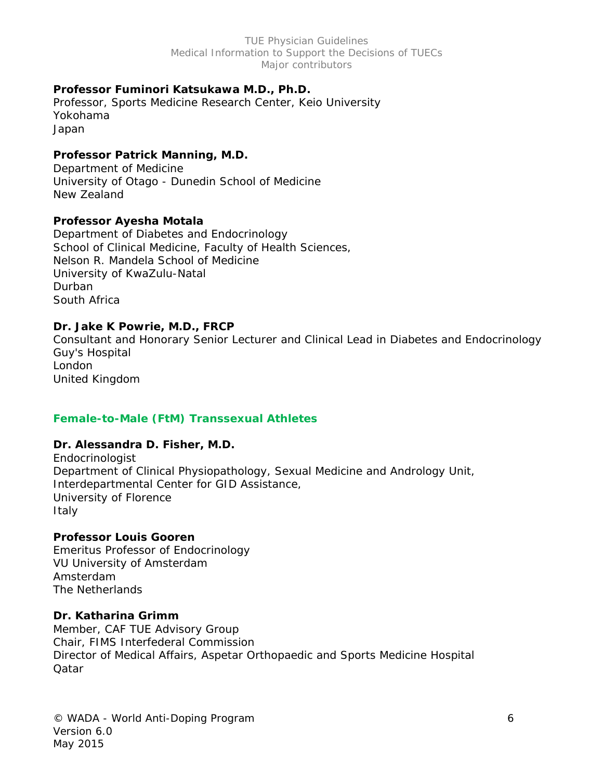## **Professor Fuminori Katsukawa M.D., Ph.D.**

Professor, Sports Medicine Research Center, Keio University Yokohama Japan

## **Professor Patrick Manning, M.D.**

Department of Medicine University of Otago - Dunedin School of Medicine New Zealand

## **Professor Ayesha Motala**

Department of Diabetes and Endocrinology School of Clinical Medicine, Faculty of Health Sciences, Nelson R. Mandela School of Medicine University of KwaZulu-Natal Durban South Africa

## **Dr. Jake K Powrie, M.D., FRCP**

Consultant and Honorary Senior Lecturer and Clinical Lead in Diabetes and Endocrinology Guy's Hospital London United Kingdom

## **Female-to-Male (FtM) Transsexual Athletes**

## **Dr. Alessandra D. Fisher, M.D.**

Endocrinologist Department of Clinical Physiopathology, Sexual Medicine and Andrology Unit, Interdepartmental Center for GID Assistance, University of Florence Italy

## **Professor Louis Gooren**

Emeritus Professor of Endocrinology VU University of Amsterdam Amsterdam The Netherlands

## **Dr. Katharina Grimm**

Member, CAF TUE Advisory Group Chair, FIMS Interfederal Commission Director of Medical Affairs, Aspetar Orthopaedic and Sports Medicine Hospital **Oatar** 

© WADA - World Anti-Doping Program 6 Version 6.0 May 2015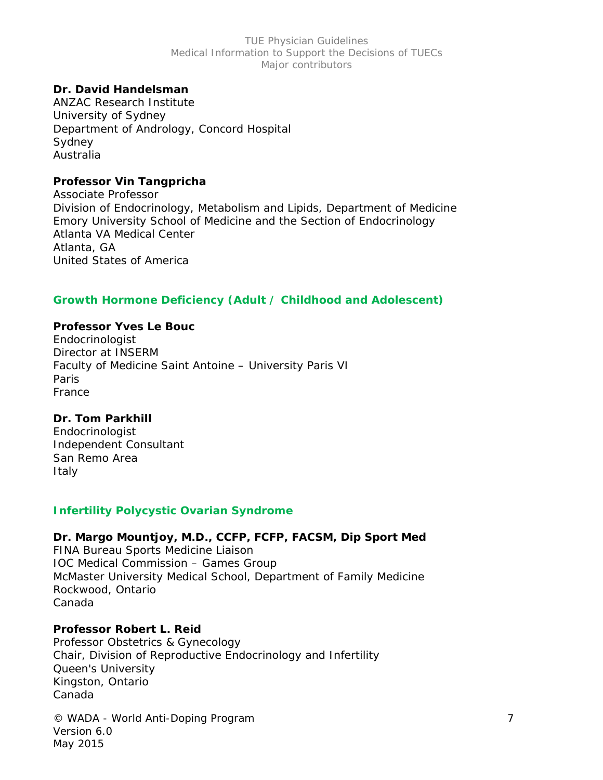## **Dr. David Handelsman**

ANZAC Research Institute University of Sydney Department of Andrology, Concord Hospital Sydney Australia

#### **Professor Vin Tangpricha**

Associate Professor Division of Endocrinology, Metabolism and Lipids, Department of Medicine Emory University School of Medicine and the Section of Endocrinology Atlanta VA Medical Center Atlanta, GA United States of America

## **Growth Hormone Deficiency (Adult / Childhood and Adolescent)**

#### **Professor Yves Le Bouc**

Endocrinologist Director at INSERM Faculty of Medicine Saint Antoine – University Paris VI Paris France

## **Dr. Tom Parkhill**

Endocrinologist Independent Consultant San Remo Area Italy

#### **Infertility Polycystic Ovarian Syndrome**

### **Dr. Margo Mountjoy, M.D., CCFP, FCFP, FACSM, Dip Sport Med**  FINA Bureau Sports Medicine Liaison IOC Medical Commission – Games Group McMaster University Medical School, Department of Family Medicine Rockwood, Ontario

Canada

## **Professor Robert L. Reid**

Professor Obstetrics & Gynecology Chair, Division of Reproductive Endocrinology and Infertility Queen's University Kingston, Ontario Canada

© WADA - World Anti-Doping Program 7 Version 6.0 May 2015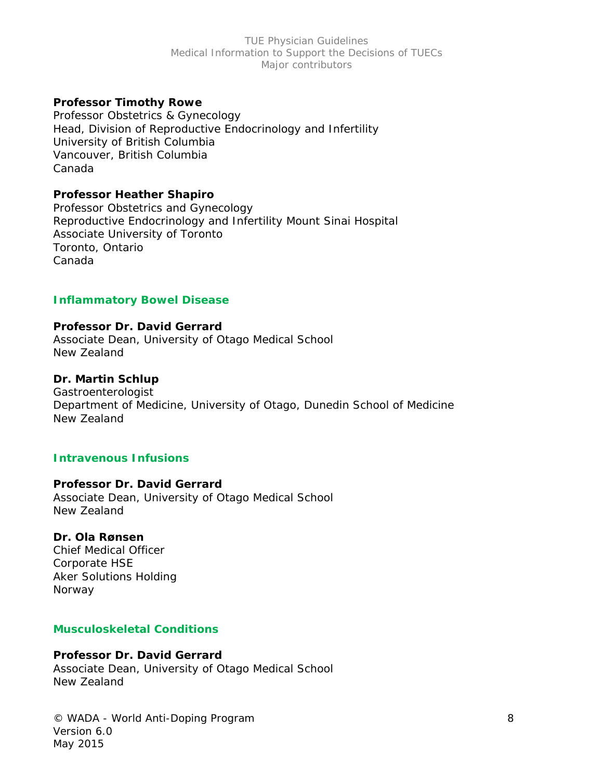## **Professor Timothy Rowe**

Professor Obstetrics & Gynecology Head, Division of Reproductive Endocrinology and Infertility University of British Columbia Vancouver, British Columbia Canada

## **Professor Heather Shapiro**

Professor Obstetrics and Gynecology Reproductive Endocrinology and Infertility Mount Sinai Hospital Associate University of Toronto Toronto, Ontario Canada

## **Inflammatory Bowel Disease**

## **Professor Dr. David Gerrard**

Associate Dean, University of Otago Medical School New Zealand

## **Dr. Martin Schlup**

Gastroenterologist Department of Medicine, University of Otago, Dunedin School of Medicine New Zealand

## **Intravenous Infusions**

## **Professor Dr. David Gerrard**

Associate Dean, University of Otago Medical School New Zealand

## **Dr. Ola Rønsen**

Chief Medical Officer Corporate HSE Aker Solutions Holding Norway

## **Musculoskeletal Conditions**

## **Professor Dr. David Gerrard**

Associate Dean, University of Otago Medical School New Zealand

© WADA - World Anti-Doping Program 8 Version 6.0 May 2015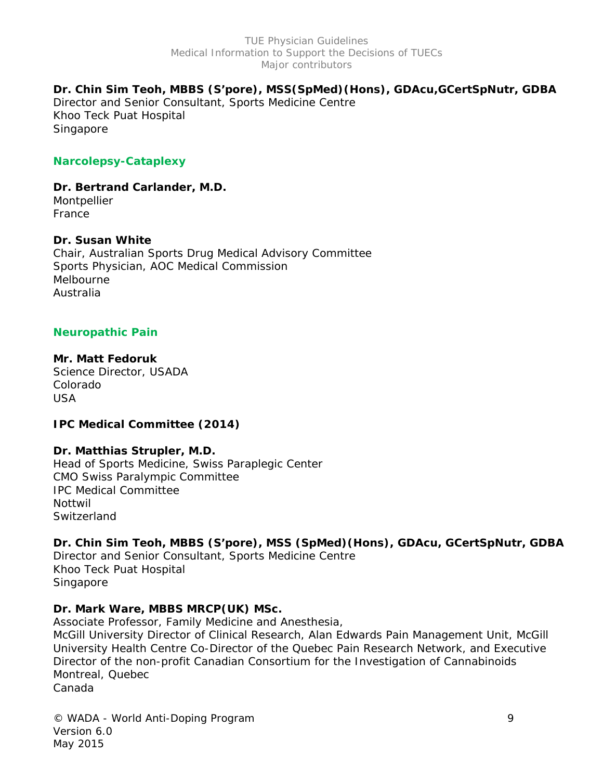## **Dr. Chin Sim Teoh, MBBS (S'pore), MSS(SpMed)(Hons), GDAcu,GCertSpNutr, GDBA**

Director and Senior Consultant, Sports Medicine Centre Khoo Teck Puat Hospital Singapore

## **Narcolepsy-Cataplexy**

**Dr. Bertrand Carlander, M.D.**  Montpellier

France

## **Dr. Susan White**

Chair, Australian Sports Drug Medical Advisory Committee Sports Physician, AOC Medical Commission Melbourne Australia

## **Neuropathic Pain**

#### **Mr. Matt Fedoruk**

Science Director, USADA Colorado USA

## **IPC Medical Committee (2014)**

## **Dr. Matthias Strupler, M.D.**

Head of Sports Medicine, Swiss Paraplegic Center CMO Swiss Paralympic Committee IPC Medical Committee Nottwil **Switzerland** 

## **Dr. Chin Sim Teoh, MBBS (S'pore), MSS (SpMed)(Hons), GDAcu, GCertSpNutr, GDBA**

Director and Senior Consultant, Sports Medicine Centre Khoo Teck Puat Hospital Singapore

## **Dr. Mark Ware, MBBS MRCP(UK) MSc.**

Associate Professor, Family Medicine and Anesthesia,

McGill University Director of Clinical Research, Alan Edwards Pain Management Unit, McGill University Health Centre Co-Director of the Quebec Pain Research Network, and Executive Director of the non-profit Canadian Consortium for the Investigation of Cannabinoids Montreal, Quebec Canada

© WADA - World Anti-Doping Program 9 Version 6.0 May 2015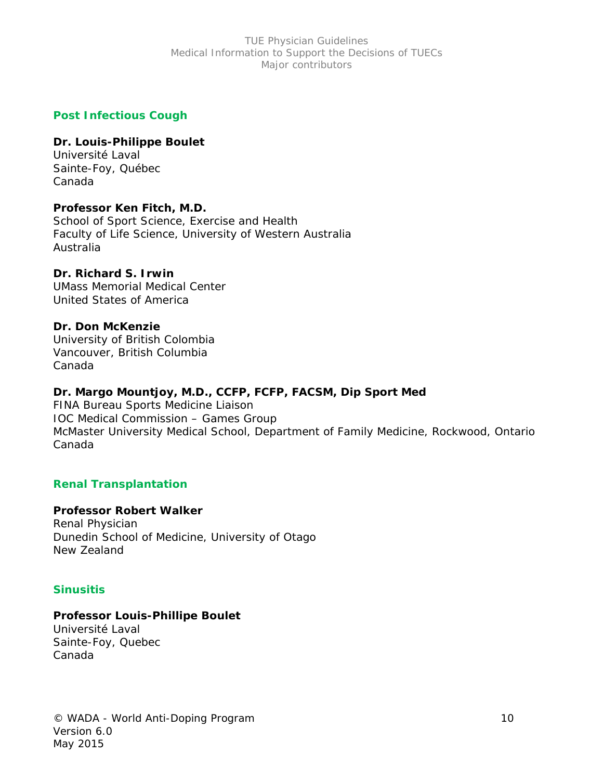## **Post Infectious Cough**

## **Dr. Louis-Philippe Boulet**

Université Laval Sainte-Foy, Québec Canada

## **Professor Ken Fitch, M.D.**

School of Sport Science, Exercise and Health Faculty of Life Science, University of Western Australia Australia

## **Dr. Richard S. Irwin**

UMass Memorial Medical Center United States of America

## **Dr. Don McKenzie**

University of British Colombia Vancouver, British Columbia Canada

# **Dr. Margo Mountjoy, M.D., CCFP, FCFP, FACSM, Dip Sport Med**

FINA Bureau Sports Medicine Liaison IOC Medical Commission – Games Group McMaster University Medical School, Department of Family Medicine, Rockwood, Ontario Canada

# **Renal Transplantation**

# **Professor Robert Walker**

Renal Physician Dunedin School of Medicine, University of Otago New Zealand

# **Sinusitis**

# **Professor Louis-Phillipe Boulet**

Université Laval Sainte-Foy, Quebec Canada